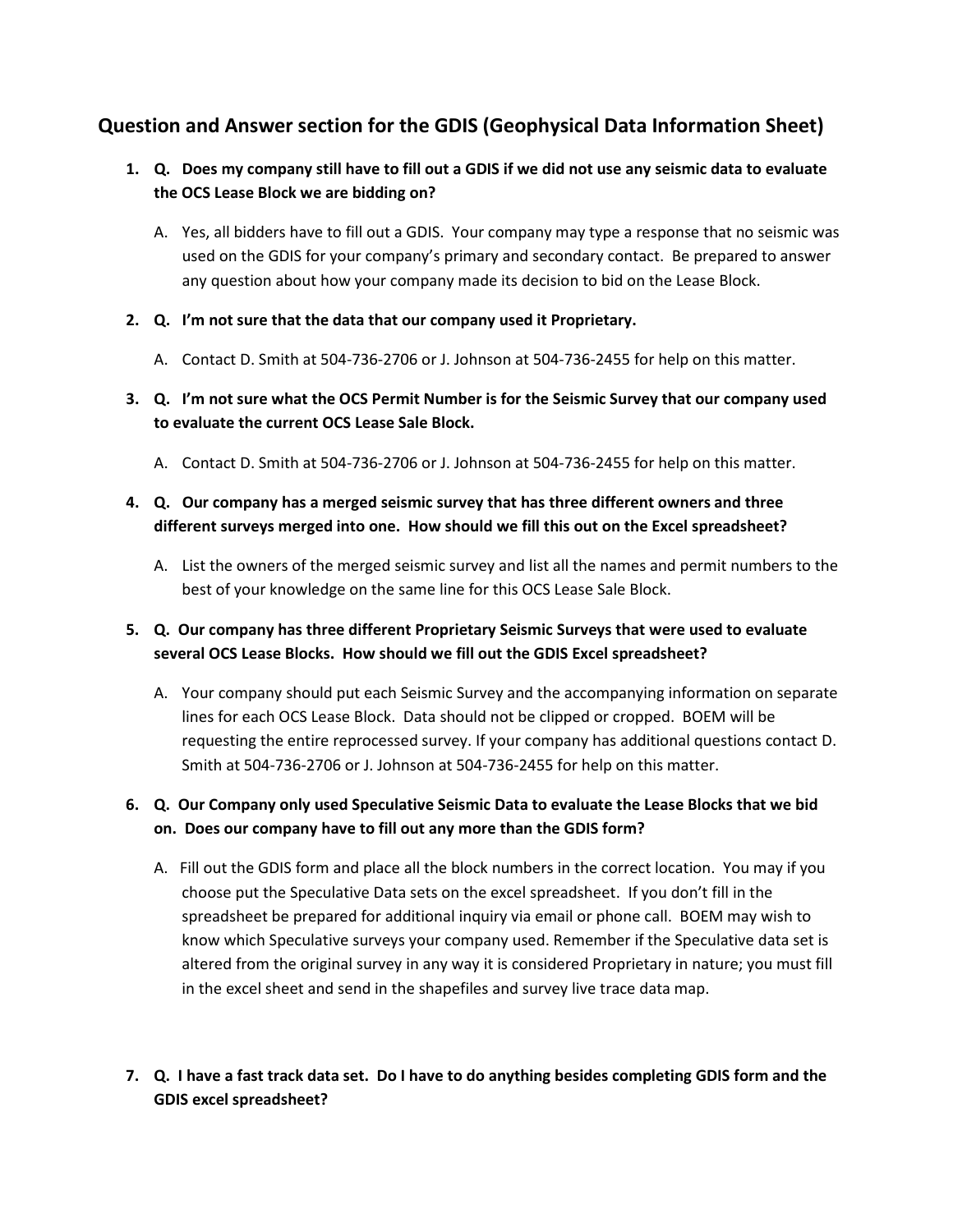## **Question and Answer section for the GDIS (Geophysical Data Information Sheet)**

- **1. Q. Does my company still have to fill out a GDIS if we did not use any seismic data to evaluate the OCS Lease Block we are bidding on?**
	- A. Yes, all bidders have to fill out a GDIS. Your company may type a response that no seismic was used on the GDIS for your company's primary and secondary contact. Be prepared to answer any question about how your company made its decision to bid on the Lease Block.
- **2. Q. I'm not sure that the data that our company used it Proprietary.**
	- A. Contact D. Smith at 504-736-2706 or J. Johnson at 504-736-2455 for help on this matter.
- **3. Q. I'm not sure what the OCS Permit Number is for the Seismic Survey that our company used to evaluate the current OCS Lease Sale Block.**
	- A. Contact D. Smith at 504-736-2706 or J. Johnson at 504-736-2455 for help on this matter.

## **4. Q. Our company has a merged seismic survey that has three different owners and three different surveys merged into one. How should we fill this out on the Excel spreadsheet?**

A. List the owners of the merged seismic survey and list all the names and permit numbers to the best of your knowledge on the same line for this OCS Lease Sale Block.

## **5. Q. Our company has three different Proprietary Seismic Surveys that were used to evaluate several OCS Lease Blocks. How should we fill out the GDIS Excel spreadsheet?**

A. Your company should put each Seismic Survey and the accompanying information on separate lines for each OCS Lease Block. Data should not be clipped or cropped. BOEM will be requesting the entire reprocessed survey. If your company has additional questions contact D. Smith at 504-736-2706 or J. Johnson at 504-736-2455 for help on this matter.

## **6. Q. Our Company only used Speculative Seismic Data to evaluate the Lease Blocks that we bid on. Does our company have to fill out any more than the GDIS form?**

- A. Fill out the GDIS form and place all the block numbers in the correct location. You may if you choose put the Speculative Data sets on the excel spreadsheet. If you don't fill in the spreadsheet be prepared for additional inquiry via email or phone call. BOEM may wish to know which Speculative surveys your company used. Remember if the Speculative data set is altered from the original survey in any way it is considered Proprietary in nature; you must fill in the excel sheet and send in the shapefiles and survey live trace data map.
- **7. Q. I have a fast track data set. Do I have to do anything besides completing GDIS form and the GDIS excel spreadsheet?**